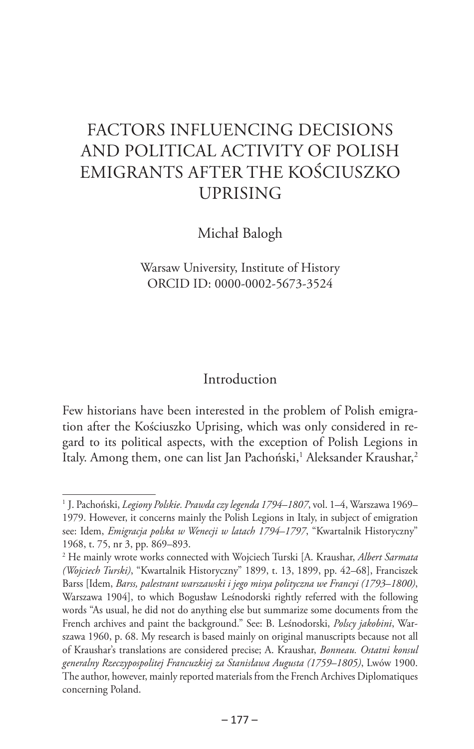# FACTORS INFLUENCING DECISIONS AND POLITICAL ACTIVITY OF POLISH EMIGRANTS AFTER THE KOŚCIUSZKO UPRISING

Michał Balogh

Warsaw University, Institute of History ORCID ID: 0000-0002-5673-3524

#### Introduction

Few historians have been interested in the problem of Polish emigration after the Kościuszko Uprising, which was only considered in regard to its political aspects, with the exception of Polish Legions in Italy. Among them, one can list Jan Pachoński,<sup>1</sup> Aleksander Kraushar,<sup>2</sup>

<sup>2</sup> He mainly wrote works connected with Wojciech Turski [A. Kraushar, *Albert Sarmata (Wojciech Turski)*, "Kwartalnik Historyczny" 1899, t. 13, 1899, pp. 42–68], Franciszek Barss [Idem, *Barss, palestrant warszawski i jego misya polityczna we Francyi (1793–1800)*, Warszawa 1904], to which Bogusław Leśnodorski rightly referred with the following words "As usual, he did not do anything else but summarize some documents from the French archives and paint the background." See: B. Leśnodorski, *Polscy jakobini*, Warszawa 1960, p. 68. My research is based mainly on original manuscripts because not all of Kraushar's translations are considered precise; A. Kraushar, *Bonneau. Ostatni konsul generalny Rzeczypospolitej Francuzkiej za Stanisława Augusta (1759–1805)*, Lwów 1900. The author, however, mainly reported materials from the French Archives Diplomatiques concerning Poland.

<sup>1</sup> J. Pachoński, *Legiony Polskie. Prawda czy legenda 1794–1807*, vol. 1–4, Warszawa 1969– 1979. However, it concerns mainly the Polish Legions in Italy, in subject of emigration see: Idem, *Emigracja polska w Wenecji w latach 1794–1797*, "Kwartalnik Historyczny" 1968, t. 75, nr 3, pp. 869–893.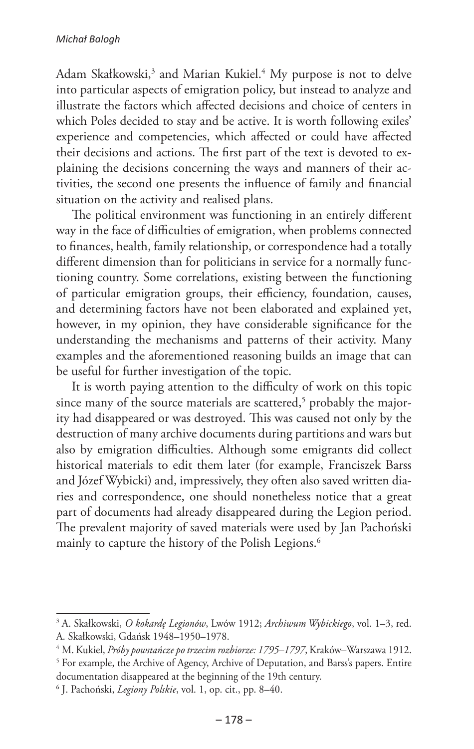Adam Skałkowski,<sup>3</sup> and Marian Kukiel.<sup>4</sup> My purpose is not to delve into particular aspects of emigration policy, but instead to analyze and illustrate the factors which affected decisions and choice of centers in which Poles decided to stay and be active. It is worth following exiles' experience and competencies, which affected or could have affected their decisions and actions. The first part of the text is devoted to explaining the decisions concerning the ways and manners of their activities, the second one presents the influence of family and financial situation on the activity and realised plans.

The political environment was functioning in an entirely different way in the face of difficulties of emigration, when problems connected to finances, health, family relationship, or correspondence had a totally different dimension than for politicians in service for a normally functioning country. Some correlations, existing between the functioning of particular emigration groups, their efficiency, foundation, causes, and determining factors have not been elaborated and explained yet, however, in my opinion, they have considerable significance for the understanding the mechanisms and patterns of their activity. Many examples and the aforementioned reasoning builds an image that can be useful for further investigation of the topic.

It is worth paying attention to the difficulty of work on this topic since many of the source materials are scattered, $^5$  probably the majority had disappeared or was destroyed. This was caused not only by the destruction of many archive documents during partitions and wars but also by emigration difficulties. Although some emigrants did collect historical materials to edit them later (for example, Franciszek Barss and Józef Wybicki) and, impressively, they often also saved written diaries and correspondence, one should nonetheless notice that a great part of documents had already disappeared during the Legion period. The prevalent majority of saved materials were used by Jan Pachoński mainly to capture the history of the Polish Legions.<sup>6</sup>

<sup>3</sup> A. Skałkowski, *O kokardę Legionów*, Lwów 1912; *Archiwum Wybickiego*, vol. 1–3, red. A. Skałkowski, Gdańsk 1948–1950–1978.

<sup>4</sup> M. Kukiel, *Próby powstańcze po trzecim rozbiorze: 1795–1797*, Kraków–Warszawa 1912.

<sup>&</sup>lt;sup>5</sup> For example, the Archive of Agency, Archive of Deputation, and Barss's papers. Entire documentation disappeared at the beginning of the 19th century.

<sup>6</sup> J. Pachoński, *Legiony Polskie*, vol. 1, op. cit., pp. 8–40.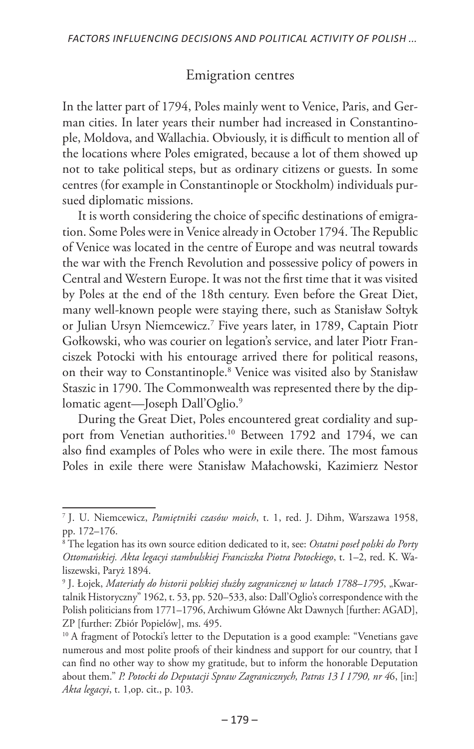## Emigration centres

In the latter part of 1794, Poles mainly went to Venice, Paris, and German cities. In later years their number had increased in Constantinople, Moldova, and Wallachia. Obviously, it is difficult to mention all of the locations where Poles emigrated, because a lot of them showed up not to take political steps, but as ordinary citizens or guests. In some centres (for example in Constantinople or Stockholm) individuals pursued diplomatic missions.

It is worth considering the choice of specific destinations of emigration. Some Poles were in Venice already in October 1794. The Republic of Venice was located in the centre of Europe and was neutral towards the war with the French Revolution and possessive policy of powers in Central and Western Europe. It was not the first time that it was visited by Poles at the end of the 18th century. Even before the Great Diet, many well-known people were staying there, such as Stanisław Sołtyk or Julian Ursyn Niemcewicz.7 Five years later, in 1789, Captain Piotr Gołkowski, who was courier on legation's service, and later Piotr Franciszek Potocki with his entourage arrived there for political reasons, on their way to Constantinople.8 Venice was visited also by Stanisław Staszic in 1790. The Commonwealth was represented there by the diplomatic agent—Joseph Dall'Oglio.<sup>9</sup>

During the Great Diet, Poles encountered great cordiality and support from Venetian authorities.<sup>10</sup> Between 1792 and 1794, we can also find examples of Poles who were in exile there. The most famous Poles in exile there were Stanisław Małachowski, Kazimierz Nestor

<sup>7</sup> J. U. Niemcewicz, *Pamiętniki czasów moich*, t. 1, red. J. Dihm, Warszawa 1958, pp. 172–176.

<sup>8</sup> The legation has its own source edition dedicated to it, see: *Ostatni poseł polski do Porty Ottomańskiej. Akta legacyi stambulskiej Franciszka Piotra Potockiego*, t. 1–2, red. K. Waliszewski, Paryż 1894.

<sup>&</sup>lt;sup>9</sup> J. Łojek, Materiały do historii polskiej służby zagranicznej w latach 1788–1795, "Kwartalnik Historyczny" 1962, t. 53, pp. 520–533, also: Dall'Oglio's correspondence with the Polish politicians from 1771–1796, Archiwum Główne Akt Dawnych [further: AGAD], ZP [further: Zbiór Popielów], ms. 495.

<sup>&</sup>lt;sup>10</sup> A fragment of Potocki's letter to the Deputation is a good example: "Venetians gave numerous and most polite proofs of their kindness and support for our country, that I can find no other way to show my gratitude, but to inform the honorable Deputation about them." *P. Potocki do Deputacji Spraw Zagranicznych, Patras 13 I 1790, nr 4*6, [in:] *Akta legacyi*, t. 1,op. cit., p. 103.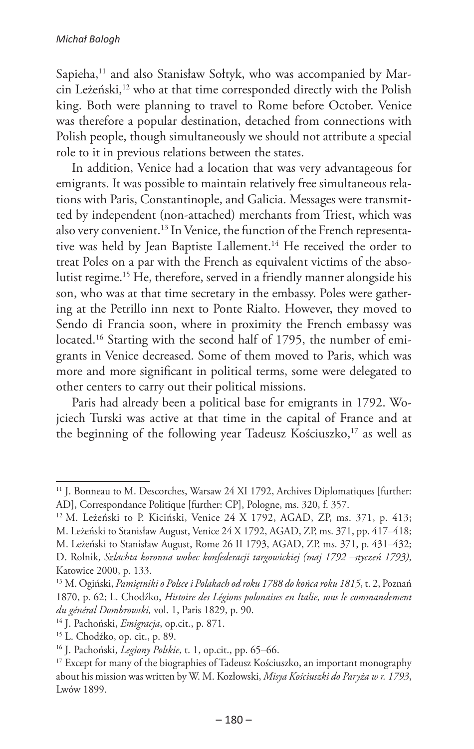Sapieha,<sup>11</sup> and also Stanisław Sołtyk, who was accompanied by Marcin Leżeński,<sup>12</sup> who at that time corresponded directly with the Polish king. Both were planning to travel to Rome before October. Venice was therefore a popular destination, detached from connections with Polish people, though simultaneously we should not attribute a special role to it in previous relations between the states.

In addition, Venice had a location that was very advantageous for emigrants. It was possible to maintain relatively free simultaneous relations with Paris, Constantinople, and Galicia. Messages were transmitted by independent (non-attached) merchants from Triest, which was also very convenient.13 In Venice, the function of the French representative was held by Jean Baptiste Lallement.<sup>14</sup> He received the order to treat Poles on a par with the French as equivalent victims of the absolutist regime.15 He, therefore, served in a friendly manner alongside his son, who was at that time secretary in the embassy. Poles were gathering at the Petrillo inn next to Ponte Rialto. However, they moved to Sendo di Francia soon, where in proximity the French embassy was located.<sup>16</sup> Starting with the second half of 1795, the number of emigrants in Venice decreased. Some of them moved to Paris, which was more and more significant in political terms, some were delegated to other centers to carry out their political missions.

Paris had already been a political base for emigrants in 1792. Wojciech Turski was active at that time in the capital of France and at the beginning of the following year Tadeusz Kościuszko,<sup>17</sup> as well as

<sup>&</sup>lt;sup>11</sup> J. Bonneau to M. Descorches, Warsaw 24 XI 1792, Archives Diplomatiques [further: AD], Correspondance Politique [further: CP], Pologne, ms. 320, f. 357.

<sup>&</sup>lt;sup>12</sup> M. Leżeński to P. Kiciński, Venice 24 X 1792, AGAD, ZP, ms. 371, p. 413; M. Leżeński to Stanisław August, Venice 24 X 1792, AGAD, ZP, ms. 371, pp. 417–418; M. Leżeński to Stanisław August, Rome 26 II 1793, AGAD, ZP, ms. 371, p. 431–432; D. Rolnik, *Szlachta koronna wobec konfederacji targowickiej (maj 1792 –styczeń 1793)*, Katowice 2000, p. 133.

<sup>13</sup> M. Ogiński, *Pamiętniki o Polsce i Polakach od roku 1788 do końca roku 1815*, t. 2, Poznań 1870, p. 62; L. Chodźko, *Histoire des Légions polonaises en Italie, sous le commandement du général Dombrowski,* vol. 1, Paris 1829, p. 90.

<sup>14</sup> J. Pachoński, *Emigracja*, op.cit., p. 871.

<sup>15</sup> L. Chodźko, op. cit., p. 89.

<sup>16</sup> J. Pachoński, *Legiony Polskie*, t. 1, op.cit., pp. 65–66.

<sup>&</sup>lt;sup>17</sup> Except for many of the biographies of Tadeusz Kościuszko, an important monography about his mission was written by W. M. Kozłowski, *Misya Kościuszki do Paryża w r. 1793*, Lwów 1899.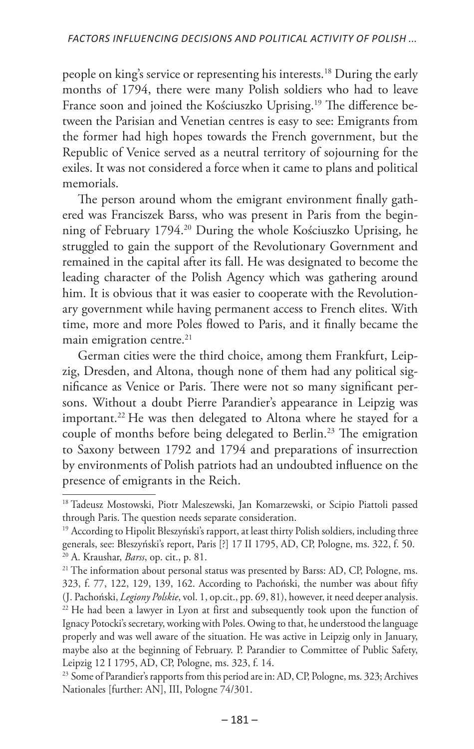people on king's service or representing his interests.18 During the early months of 1794, there were many Polish soldiers who had to leave France soon and joined the Kościuszko Uprising.19 The difference between the Parisian and Venetian centres is easy to see: Emigrants from the former had high hopes towards the French government, but the Republic of Venice served as a neutral territory of sojourning for the exiles. It was not considered a force when it came to plans and political memorials.

The person around whom the emigrant environment finally gathered was Franciszek Barss, who was present in Paris from the beginning of February 1794.20 During the whole Kościuszko Uprising, he struggled to gain the support of the Revolutionary Government and remained in the capital after its fall. He was designated to become the leading character of the Polish Agency which was gathering around him. It is obvious that it was easier to cooperate with the Revolutionary government while having permanent access to French elites. With time, more and more Poles flowed to Paris, and it finally became the main emigration centre.<sup>21</sup>

German cities were the third choice, among them Frankfurt, Leipzig, Dresden, and Altona, though none of them had any political significance as Venice or Paris. There were not so many significant persons. Without a doubt Pierre Parandier's appearance in Leipzig was important.<sup>22</sup> He was then delegated to Altona where he stayed for a couple of months before being delegated to Berlin.<sup>23</sup> The emigration to Saxony between 1792 and 1794 and preparations of insurrection by environments of Polish patriots had an undoubted influence on the presence of emigrants in the Reich.

<sup>&</sup>lt;sup>18</sup> Tadeusz Mostowski, Piotr Maleszewski, Jan Komarzewski, or Scipio Piattoli passed through Paris. The question needs separate consideration.

<sup>19</sup> According to Hipolit Błeszyński's rapport, at least thirty Polish soldiers, including three generals, see: Błeszyński's report, Paris [?] 17 II 1795, AD, CP, Pologne, ms. 322, f. 50. <sup>20</sup> A. Kraushar, *Barss*, op. cit., p. 81.

<sup>&</sup>lt;sup>21</sup> The information about personal status was presented by Barss: AD, CP, Pologne, ms. 323, f. 77, 122, 129, 139, 162. According to Pachoński, the number was about fifty (J. Pachoński, *Legiony Polskie*, vol. 1, op.cit., pp. 69, 81), however, it need deeper analysis. <sup>22</sup> He had been a lawyer in Lyon at first and subsequently took upon the function of Ignacy Potocki's secretary, working with Poles. Owing to that, he understood the language properly and was well aware of the situation. He was active in Leipzig only in January, maybe also at the beginning of February. P. Parandier to Committee of Public Safety, Leipzig 12 I 1795, AD, CP, Pologne, ms. 323, f. 14.

<sup>&</sup>lt;sup>23</sup> Some of Parandier's rapports from this period are in: AD, CP, Pologne, ms. 323; Archives Nationales [further: AN], III, Pologne 74/301.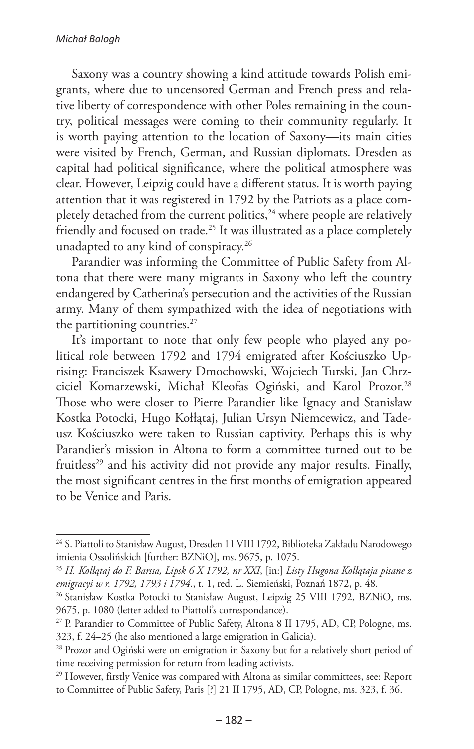Saxony was a country showing a kind attitude towards Polish emigrants, where due to uncensored German and French press and relative liberty of correspondence with other Poles remaining in the country, political messages were coming to their community regularly. It is worth paying attention to the location of Saxony—its main cities were visited by French, German, and Russian diplomats. Dresden as capital had political significance, where the political atmosphere was clear. However, Leipzig could have a different status. It is worth paying attention that it was registered in 1792 by the Patriots as a place completely detached from the current politics, $24$  where people are relatively friendly and focused on trade.25 It was illustrated as a place completely unadapted to any kind of conspiracy.<sup>26</sup>

Parandier was informing the Committee of Public Safety from Altona that there were many migrants in Saxony who left the country endangered by Catherina's persecution and the activities of the Russian army. Many of them sympathized with the idea of negotiations with the partitioning countries.<sup>27</sup>

It's important to note that only few people who played any political role between 1792 and 1794 emigrated after Kościuszko Uprising: Franciszek Ksawery Dmochowski, Wojciech Turski, Jan Chrzciciel Komarzewski, Michał Kleofas Ogiński, and Karol Prozor.28 Those who were closer to Pierre Parandier like Ignacy and Stanisław Kostka Potocki, Hugo Kołłątaj, Julian Ursyn Niemcewicz, and Tadeusz Kościuszko were taken to Russian captivity. Perhaps this is why Parandier's mission in Altona to form a committee turned out to be fruitless<sup>29</sup> and his activity did not provide any major results. Finally, the most significant centres in the first months of emigration appeared to be Venice and Paris.

<sup>&</sup>lt;sup>24</sup> S. Piattoli to Stanisław August, Dresden 11 VIII 1792, Biblioteka Zakładu Narodowego imienia Ossolińskich [further: BZNiO], ms. 9675, p. 1075.

<sup>25</sup> *H. Kołłątaj do F. Barssa, Lipsk 6 X 1792, nr XXI*, [in:] *Listy Hugona Kołłątaja pisane z emigracyi w r. 1792, 1793 i 1794*., t. 1, red. L. Siemieński, Poznań 1872, p. 48.

<sup>&</sup>lt;sup>26</sup> Stanisław Kostka Potocki to Stanisław August, Leipzig 25 VIII 1792, BZNiO, ms. 9675, p. 1080 (letter added to Piattoli's correspondance).

<sup>&</sup>lt;sup>27</sup> P. Parandier to Committee of Public Safety, Altona 8 II 1795, AD, CP, Pologne, ms. 323, f. 24–25 (he also mentioned a large emigration in Galicia).

<sup>&</sup>lt;sup>28</sup> Prozor and Ogiński were on emigration in Saxony but for a relatively short period of time receiving permission for return from leading activists.

<sup>&</sup>lt;sup>29</sup> However, firstly Venice was compared with Altona as similar committees, see: Report to Committee of Public Safety, Paris [?] 21 II 1795, AD, CP, Pologne, ms. 323, f. 36.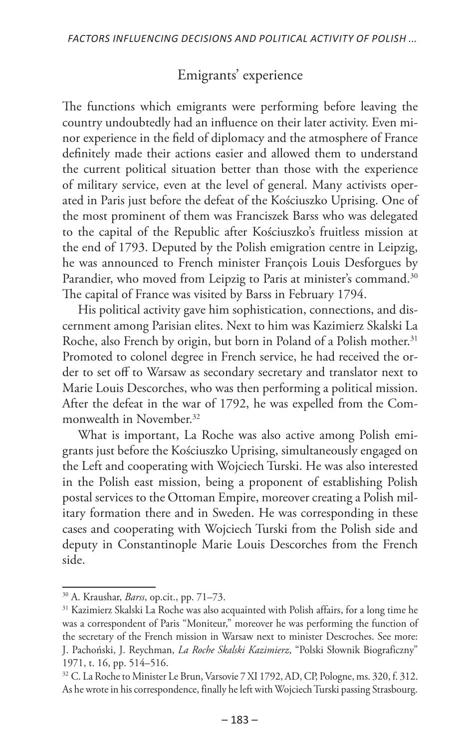## Emigrants' experience

The functions which emigrants were performing before leaving the country undoubtedly had an influence on their later activity. Even minor experience in the field of diplomacy and the atmosphere of France definitely made their actions easier and allowed them to understand the current political situation better than those with the experience of military service, even at the level of general. Many activists operated in Paris just before the defeat of the Kościuszko Uprising. One of the most prominent of them was Franciszek Barss who was delegated to the capital of the Republic after Kościuszko's fruitless mission at the end of 1793. Deputed by the Polish emigration centre in Leipzig, he was announced to French minister François Louis Desforgues by Parandier, who moved from Leipzig to Paris at minister's command.<sup>30</sup> The capital of France was visited by Barss in February 1794.

His political activity gave him sophistication, connections, and discernment among Parisian elites. Next to him was Kazimierz Skalski La Roche, also French by origin, but born in Poland of a Polish mother.<sup>31</sup> Promoted to colonel degree in French service, he had received the order to set off to Warsaw as secondary secretary and translator next to Marie Louis Descorches, who was then performing a political mission. After the defeat in the war of 1792, he was expelled from the Commonwealth in November.32

What is important, La Roche was also active among Polish emigrants just before the Kościuszko Uprising, simultaneously engaged on the Left and cooperating with Wojciech Turski. He was also interested in the Polish east mission, being a proponent of establishing Polish postal services to the Ottoman Empire, moreover creating a Polish military formation there and in Sweden. He was corresponding in these cases and cooperating with Wojciech Turski from the Polish side and deputy in Constantinople Marie Louis Descorches from the French side.

<sup>30</sup> A. Kraushar, *Barss*, op.cit., pp. 71–73.

<sup>&</sup>lt;sup>31</sup> Kazimierz Skalski La Roche was also acquainted with Polish affairs, for a long time he was a correspondent of Paris "Moniteur," moreover he was performing the function of the secretary of the French mission in Warsaw next to minister Descroches. See more: J. Pachoński, J. Reychman, *La Roche Skalski Kazimierz*, "Polski Słownik Biograficzny" 1971, t. 16, pp. 514–516.

<sup>&</sup>lt;sup>32</sup> C. La Roche to Minister Le Brun, Varsovie 7 XI 1792, AD, CP, Pologne, ms. 320, f. 312. As he wrote in his correspondence, finally he left with Wojciech Turski passing Strasbourg.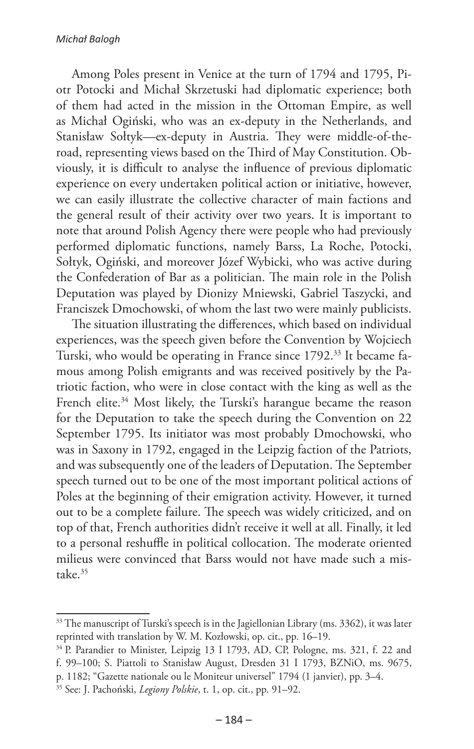#### *Michał Balogh*

Among Poles present in Venice at the turn of 1794 and 1795, Piotr Potocki and Michał Skrzetuski had diplomatic experience; both of them had acted in the mission in the Ottoman Empire, as well as Michał Ogiński, who was an ex-deputy in the Netherlands, and Stanisław Sołtyk—ex-deputy in Austria. They were middle-of-theroad, representing views based on the Third of May Constitution. Obviously, it is difficult to analyse the influence of previous diplomatic experience on every undertaken political action or initiative, however, we can easily illustrate the collective character of main factions and the general result of their activity over two years. It is important to note that around Polish Agency there were people who had previously performed diplomatic functions, namely Barss, La Roche, Potocki, Sołtyk, Ogiński, and moreover Józef Wybicki, who was active during the Confederation of Bar as a politician. The main role in the Polish Deputation was played by Dionizy Mniewski, Gabriel Taszycki, and Franciszek Dmochowski, of whom the last two were mainly publicists.

The situation illustrating the differences, which based on individual experiences, was the speech given before the Convention by Wojciech Turski, who would be operating in France since 1792.33 It became famous among Polish emigrants and was received positively by the Patriotic faction, who were in close contact with the king as well as the French elite.<sup>34</sup> Most likely, the Turski's harangue became the reason for the Deputation to take the speech during the Convention on 22 September 1795. Its initiator was most probably Dmochowski, who was in Saxony in 1792, engaged in the Leipzig faction of the Patriots, and was subsequently one of the leaders of Deputation. The September speech turned out to be one of the most important political actions of Poles at the beginning of their emigration activity. However, it turned out to be a complete failure. The speech was widely criticized, and on top of that, French authorities didn't receive it well at all. Finally, it led to a personal reshuffle in political collocation. The moderate oriented milieus were convinced that Barss would not have made such a mistake.35

<sup>&</sup>lt;sup>33</sup> The manuscript of Turski's speech is in the Jagiellonian Library (ms. 3362), it was later reprinted with translation by W. M. Kozłowski, op. cit., pp. 16–19.

<sup>&</sup>lt;sup>34</sup> P. Parandier to Minister, Leipzig 13 I 1793, AD, CP, Pologne, ms. 321, f. 22 and f. 99–100; S. Piattoli to Stanisław August, Dresden 31 I 1793, BZNiO, ms. 9675, p. 1182; "Gazette nationale ou le Moniteur universel" 1794 (1 janvier), pp. 3–4.

<sup>35</sup> See: J. Pachoński, *Legiony Polskie*, t. 1, op. cit., pp. 91–92.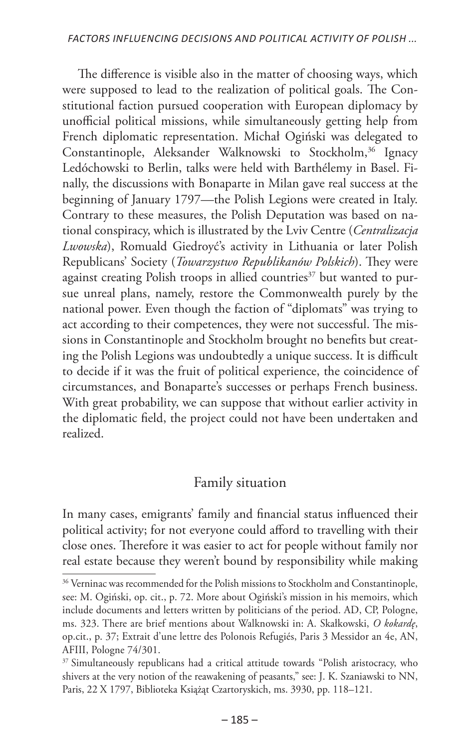The difference is visible also in the matter of choosing ways, which were supposed to lead to the realization of political goals. The Constitutional faction pursued cooperation with European diplomacy by unofficial political missions, while simultaneously getting help from French diplomatic representation. Michał Ogiński was delegated to Constantinople, Aleksander Walknowski to Stockholm,<sup>36</sup> Ignacy Ledóchowski to Berlin, talks were held with Barthélemy in Basel. Finally, the discussions with Bonaparte in Milan gave real success at the beginning of January 1797—the Polish Legions were created in Italy. Contrary to these measures, the Polish Deputation was based on national conspiracy, which is illustrated by the Lviv Centre (*Centralizacja Lwowska*), Romuald Giedroyć's activity in Lithuania or later Polish Republicans' Society (*Towarzystwo Republikanów Polskich*). They were against creating Polish troops in allied countries<sup>37</sup> but wanted to pursue unreal plans, namely, restore the Commonwealth purely by the national power. Even though the faction of "diplomats" was trying to act according to their competences, they were not successful. The missions in Constantinople and Stockholm brought no benefits but creating the Polish Legions was undoubtedly a unique success. It is difficult to decide if it was the fruit of political experience, the coincidence of circumstances, and Bonaparte's successes or perhaps French business. With great probability, we can suppose that without earlier activity in the diplomatic field, the project could not have been undertaken and realized.

## Family situation

In many cases, emigrants' family and financial status influenced their political activity; for not everyone could afford to travelling with their close ones. Therefore it was easier to act for people without family nor real estate because they weren't bound by responsibility while making

<sup>&</sup>lt;sup>36</sup> Verninac was recommended for the Polish missions to Stockholm and Constantinople, see: M. Ogiński, op. cit., p. 72. More about Ogiński's mission in his memoirs, which include documents and letters written by politicians of the period. AD, CP, Pologne, ms. 323. There are brief mentions about Walknowski in: A. Skałkowski, *O kokardę*, op.cit., p. 37; Extrait d'une lettre des Polonois Refugiés, Paris 3 Messidor an 4e, AN, AFIII, Pologne 74/301.

<sup>&</sup>lt;sup>37</sup> Simultaneously republicans had a critical attitude towards "Polish aristocracy, who shivers at the very notion of the reawakening of peasants," see: J. K. Szaniawski to NN, Paris, 22 X 1797, Biblioteka Książąt Czartoryskich, ms. 3930, pp. 118–121.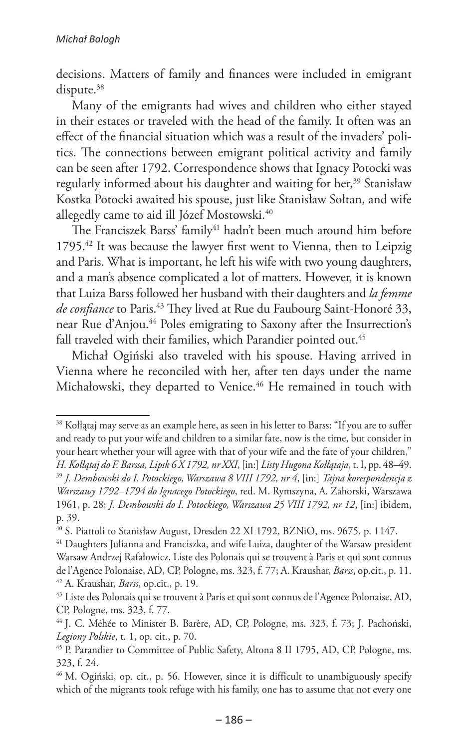decisions. Matters of family and finances were included in emigrant dispute.<sup>38</sup>

Many of the emigrants had wives and children who either stayed in their estates or traveled with the head of the family. It often was an effect of the financial situation which was a result of the invaders' politics. The connections between emigrant political activity and family can be seen after 1792. Correspondence shows that Ignacy Potocki was regularly informed about his daughter and waiting for her,<sup>39</sup> Stanisław Kostka Potocki awaited his spouse, just like Stanisław Sołtan, and wife allegedly came to aid ill Józef Mostowski.<sup>40</sup>

The Franciszek Barss' family<sup>41</sup> hadn't been much around him before 1795.42 It was because the lawyer first went to Vienna, then to Leipzig and Paris. What is important, he left his wife with two young daughters, and a man's absence complicated a lot of matters. However, it is known that Luiza Barss followed her husband with their daughters and *la femme*  de confiance to Paris.<sup>43</sup> They lived at Rue du Faubourg Saint-Honoré 33, near Rue d'Anjou.44 Poles emigrating to Saxony after the Insurrection's fall traveled with their families, which Parandier pointed out.<sup>45</sup>

Michał Ogiński also traveled with his spouse. Having arrived in Vienna where he reconciled with her, after ten days under the name Michałowski, they departed to Venice.<sup>46</sup> He remained in touch with

<sup>&</sup>lt;sup>38</sup> Kołłątaj may serve as an example here, as seen in his letter to Barss: "If you are to suffer and ready to put your wife and children to a similar fate, now is the time, but consider in your heart whether your will agree with that of your wife and the fate of your children," *H. Kołłątaj do F. Barssa, Lipsk 6 X 1792, nr XXI*, [in:] *Listy Hugona Kołłątaja*, t. I, pp. 48–49. <sup>39</sup> *J. Dembowski do I. Potockiego, Warszawa 8 VIII 1792, nr 4*, [in:] *Tajna korespondencja z Warszawy 1792–1794 do Ignacego Potockiego*, red. M. Rymszyna, A. Zahorski, Warszawa 1961, p. 28; *J. Dembowski do I. Potockiego, Warszawa 25 VIII 1792, nr 12*, [in:] ibidem, p. 39.

<sup>40</sup> S. Piattoli to Stanisław August, Dresden 22 XI 1792, BZNiO, ms. 9675, p. 1147.

<sup>&</sup>lt;sup>41</sup> Daughters Julianna and Franciszka, and wife Luiza, daughter of the Warsaw president Warsaw Andrzej Rafałowicz. Liste des Polonais qui se trouvent à Paris et qui sont connus de l'Agence Polonaise, AD, CP, Pologne, ms. 323, f. 77; A. Kraushar, *Barss*, op.cit., p. 11. <sup>42</sup> A. Kraushar, *Barss*, op.cit., p. 19.

<sup>&</sup>lt;sup>43</sup> Liste des Polonais qui se trouvent à Paris et qui sont connus de l'Agence Polonaise, AD, CP, Pologne, ms. 323, f. 77.

<sup>&</sup>lt;sup>44</sup> J. C. Méhée to Minister B. Barère, AD, CP, Pologne, ms. 323, f. 73; J. Pachoński, *Legiony Polskie*, t. 1, op. cit., p. 70.

<sup>45</sup> P. Parandier to Committee of Public Safety, Altona 8 II 1795, AD, CP, Pologne, ms. 323, f. 24.

<sup>&</sup>lt;sup>46</sup> M. Ogiński, op. cit., p. 56. However, since it is difficult to unambiguously specify which of the migrants took refuge with his family, one has to assume that not every one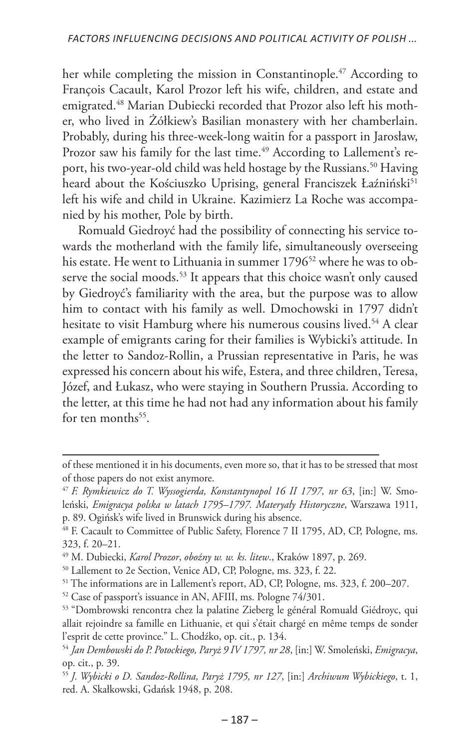her while completing the mission in Constantinople.<sup>47</sup> According to François Cacault, Karol Prozor left his wife, children, and estate and emigrated.48 Marian Dubiecki recorded that Prozor also left his mother, who lived in Żółkiew's Basilian monastery with her chamberlain. Probably, during his three-week-long waitin for a passport in Jarosław, Prozor saw his family for the last time.<sup>49</sup> According to Lallement's report, his two-year-old child was held hostage by the Russians.<sup>50</sup> Having heard about the Kościuszko Uprising, general Franciszek Łaźniński<sup>51</sup> left his wife and child in Ukraine. Kazimierz La Roche was accompanied by his mother, Pole by birth.

Romuald Giedroyć had the possibility of connecting his service towards the motherland with the family life, simultaneously overseeing his estate. He went to Lithuania in summer 1796<sup>52</sup> where he was to observe the social moods.<sup>53</sup> It appears that this choice wasn't only caused by Giedroyć's familiarity with the area, but the purpose was to allow him to contact with his family as well. Dmochowski in 1797 didn't hesitate to visit Hamburg where his numerous cousins lived.<sup>54</sup> A clear example of emigrants caring for their families is Wybicki's attitude. In the letter to Sandoz-Rollin, a Prussian representative in Paris, he was expressed his concern about his wife, Estera, and three children, Teresa, Józef, and Łukasz, who were staying in Southern Prussia. According to the letter, at this time he had not had any information about his family for ten months $55$ .

of these mentioned it in his documents, even more so, that it has to be stressed that most of those papers do not exist anymore.

<sup>47</sup> *F. Rymkiewicz do T. Wyssogierda, Konstantynopol 16 II 1797, nr 63*, [in:] W. Smoleński, *Emigracya polska w latach 1795–1797. Materyały Historyczne*, Warszawa 1911, p. 89. Ogińsk's wife lived in Brunswick during his absence.

<sup>48</sup> F. Cacault to Committee of Public Safety, Florence 7 II 1795, AD, CP, Pologne, ms. 323, f. 20–21.

<sup>49</sup> M. Dubiecki, *Karol Prozor*, *oboźny w. w. ks. litew*., Kraków 1897, p. 269.

<sup>50</sup> Lallement to 2e Section, Venice AD, CP, Pologne, ms. 323, f. 22.

<sup>51</sup> The informations are in Lallement's report, AD, CP, Pologne, ms. 323, f. 200–207.

<sup>52</sup> Case of passport's issuance in AN, AFIII, ms. Pologne 74/301.

<sup>53</sup> "Dombrowski rencontra chez la palatine Zieberg le général Romuald Giédroyc, qui allait rejoindre sa famille en Lithuanie, et qui s'était chargé en même temps de sonder l'esprit de cette province." L. Chodźko, op. cit., p. 134.

<sup>54</sup> *Jan Dembowski do P. Potockiego, Paryż 9 IV 1797, nr 28*, [in:] W. Smoleński, *Emigracya*, op. cit., p. 39.

<sup>55</sup> *J. Wybicki o D. Sandoz-Rollina, Paryż 1795, nr 127*, [in:] *Archiwum Wybickiego*, t. 1, red. A. Skałkowski, Gdańsk 1948, p. 208.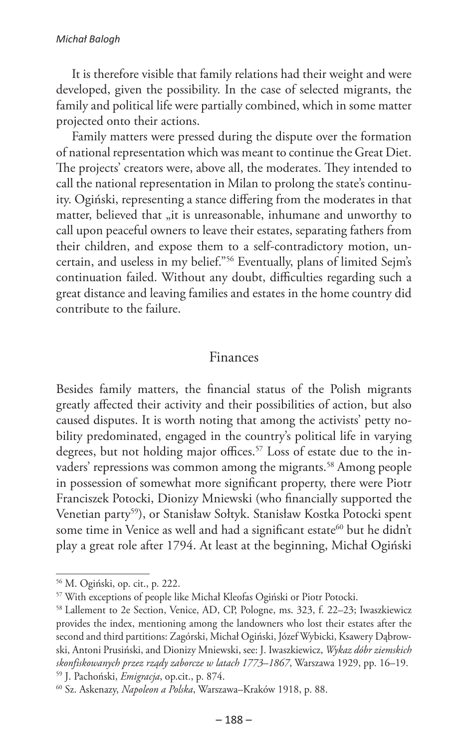#### *Michał Balogh*

It is therefore visible that family relations had their weight and were developed, given the possibility. In the case of selected migrants, the family and political life were partially combined, which in some matter projected onto their actions.

Family matters were pressed during the dispute over the formation of national representation which was meant to continue the Great Diet. The projects' creators were, above all, the moderates. They intended to call the national representation in Milan to prolong the state's continuity. Ogiński, representing a stance differing from the moderates in that matter, believed that "it is unreasonable, inhumane and unworthy to call upon peaceful owners to leave their estates, separating fathers from their children, and expose them to a self-contradictory motion, uncertain, and useless in my belief."56 Eventually, plans of limited Sejm's continuation failed. Without any doubt, difficulties regarding such a great distance and leaving families and estates in the home country did contribute to the failure.

#### Finances

Besides family matters, the financial status of the Polish migrants greatly affected their activity and their possibilities of action, but also caused disputes. It is worth noting that among the activists' petty nobility predominated, engaged in the country's political life in varying degrees, but not holding major offices.<sup>57</sup> Loss of estate due to the invaders' repressions was common among the migrants.<sup>58</sup> Among people in possession of somewhat more significant property, there were Piotr Franciszek Potocki, Dionizy Mniewski (who financially supported the Venetian party59), or Stanisław Sołtyk. Stanisław Kostka Potocki spent some time in Venice as well and had a significant estate<sup>60</sup> but he didn't play a great role after 1794. At least at the beginning, Michał Ogiński

<sup>56</sup> M. Ogiński, op. cit., p. 222.

<sup>57</sup> With exceptions of people like Michał Kleofas Ogiński or Piotr Potocki.

<sup>58</sup> Lallement to 2e Section, Venice, AD, CP, Pologne, ms. 323, f. 22–23; Iwaszkiewicz provides the index, mentioning among the landowners who lost their estates after the second and third partitions: Zagórski, Michał Ogiński, Józef Wybicki, Ksawery Dąbrowski, Antoni Prusiński, and Dionizy Mniewski, see: J. Iwaszkiewicz, *Wykaz dóbr ziemskich skonfiskowanych przez rządy zaborcze w latach 1773–1867*, Warszawa 1929, pp. 16–19. <sup>59</sup> J. Pachoński, *Emigracja*, op.cit., p. 874.

<sup>60</sup> Sz. Askenazy, *Napoleon a Polska*, Warszawa–Kraków 1918, p. 88.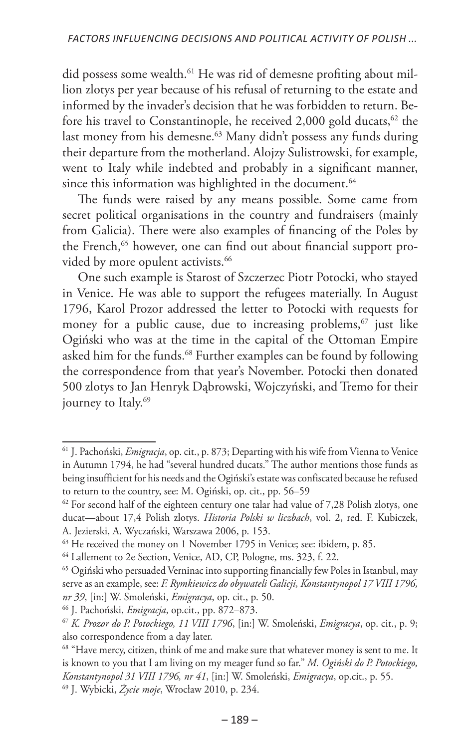did possess some wealth.<sup>61</sup> He was rid of demesne profiting about million zlotys per year because of his refusal of returning to the estate and informed by the invader's decision that he was forbidden to return. Before his travel to Constantinople, he received 2,000 gold ducats,  $62$  the last money from his demesne.<sup>63</sup> Many didn't possess any funds during their departure from the motherland. Alojzy Sulistrowski, for example, went to Italy while indebted and probably in a significant manner, since this information was highlighted in the document.<sup>64</sup>

The funds were raised by any means possible. Some came from secret political organisations in the country and fundraisers (mainly from Galicia). There were also examples of financing of the Poles by the French,<sup>65</sup> however, one can find out about financial support provided by more opulent activists.<sup>66</sup>

One such example is Starost of Szczerzec Piotr Potocki, who stayed in Venice. He was able to support the refugees materially. In August 1796, Karol Prozor addressed the letter to Potocki with requests for money for a public cause, due to increasing problems, $67$  just like Ogiński who was at the time in the capital of the Ottoman Empire asked him for the funds.<sup>68</sup> Further examples can be found by following the correspondence from that year's November. Potocki then donated 500 zlotys to Jan Henryk Dąbrowski, Wojczyński, and Tremo for their journey to Italy.<sup>69</sup>

<sup>61</sup> J. Pachoński, *Emigracja*, op. cit., p. 873; Departing with his wife from Vienna to Venice in Autumn 1794, he had "several hundred ducats." The author mentions those funds as being insufficient for his needs and the Ogiński's estate was confiscated because he refused to return to the country, see: M. Ogiński, op. cit., pp. 56–59

 $62$  For second half of the eighteen century one talar had value of 7,28 Polish zlotys, one ducat—about 17,4 Polish zlotys. *Historia Polski w liczbach*, vol. 2, red. F. Kubiczek, A. Jezierski, A. Wyczański, Warszawa 2006, p. 153.

<sup>&</sup>lt;sup>63</sup> He received the money on 1 November 1795 in Venice; see: ibidem, p. 85.

<sup>64</sup> Lallement to 2e Section, Venice, AD, CP, Pologne, ms. 323, f. 22.

<sup>65</sup> Ogiński who persuaded Verninac into supporting financially few Poles in Istanbul, may serve as an example, see: *F. Rymkiewicz do obywateli Galicji, Konstantynopol 17 VIII 1796, nr 39*, [in:] W. Smoleński, *Emigracya*, op. cit., p. 50.

<sup>66</sup> J. Pachoński, *Emigracja*, op.cit., pp. 872–873.

<sup>67</sup> *K. Prozor do P. Potockiego, 11 VIII 1796*, [in:] W. Smoleński, *Emigracya*, op. cit., p. 9; also correspondence from a day later.

<sup>&</sup>lt;sup>68</sup> "Have mercy, citizen, think of me and make sure that whatever money is sent to me. It is known to you that I am living on my meager fund so far." *M. Ogiński do P. Potockiego, Konstantynopol 31 VIII 1796, nr 41*, [in:] W. Smoleński, *Emigracya*, op.cit., p. 55.

<sup>69</sup> J. Wybicki, *Życie moje*, Wrocław 2010, p. 234.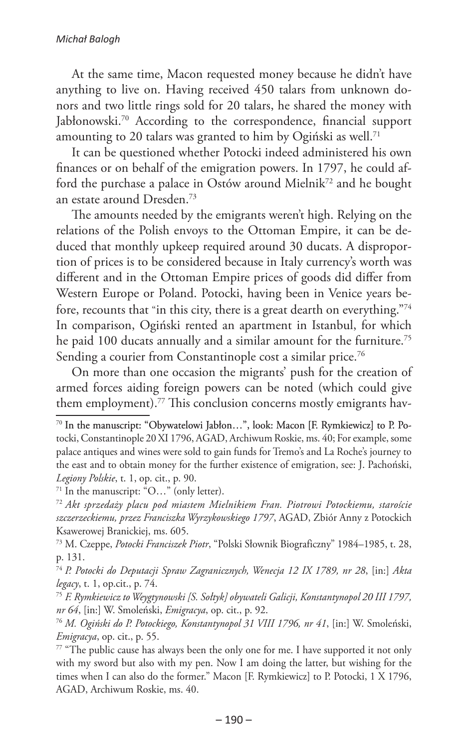At the same time, Macon requested money because he didn't have anything to live on. Having received 450 talars from unknown donors and two little rings sold for 20 talars, he shared the money with Jabłonowski.<sup>70</sup> According to the correspondence, financial support amounting to 20 talars was granted to him by Ogiński as well.<sup>71</sup>

It can be questioned whether Potocki indeed administered his own finances or on behalf of the emigration powers. In 1797, he could afford the purchase a palace in Ostów around Mielnik<sup>72</sup> and he bought an estate around Dresden.73

The amounts needed by the emigrants weren't high. Relying on the relations of the Polish envoys to the Ottoman Empire, it can be deduced that monthly upkeep required around 30 ducats. A disproportion of prices is to be considered because in Italy currency's worth was different and in the Ottoman Empire prices of goods did differ from Western Europe or Poland. Potocki, having been in Venice years before, recounts that "in this city, there is a great dearth on everything."74 In comparison, Ogiński rented an apartment in Istanbul, for which he paid 100 ducats annually and a similar amount for the furniture.<sup>75</sup> Sending a courier from Constantinople cost a similar price.<sup>76</sup>

On more than one occasion the migrants' push for the creation of armed forces aiding foreign powers can be noted (which could give them employment).<sup>77</sup> This conclusion concerns mostly emigrants hav-

<sup>74</sup> *P. Potocki do Deputacji Spraw Zagranicznych, Wenecja 12 IX 1789, nr 28*, [in:] *Akta legacy*, t. 1, op.cit., p. 74.

<sup>75</sup> *F. Rymkiewicz to Weygtynowski [S. Sołtyk] obywateli Galicji, Konstantynopol 20 III 1797, nr 64*, [in:] W. Smoleński, *Emigracya*, op. cit., p. 92.

<sup>76</sup> *M. Ogiński do P. Potockiego, Konstantynopol 31 VIII 1796, nr 41*, [in:] W. Smoleński, *Emigracya*, op. cit., p. 55.

<sup>&</sup>lt;sup>70</sup> In the manuscript: "Obywatelowi Jabłon...", look: Macon [F. Rymkiewicz] to P. Potocki, Constantinople 20 XI 1796, AGAD, Archiwum Roskie, ms. 40; For example, some palace antiques and wines were sold to gain funds for Tremo's and La Roche's journey to the east and to obtain money for the further existence of emigration, see: J. Pachoński, *Legiony Polskie*, t. 1, op. cit., p. 90.

<sup>71</sup> In the manuscript: "O…" (only letter).

<sup>72</sup> *Akt sprzedaży placu pod miastem Mielnikiem Fran. Piotrowi Potockiemu, staroście szczerzeckiemu, przez Franciszka Wyrzykowskiego 1797*, AGAD, Zbiór Anny z Potockich Ksawerowej Branickiej, ms. 605.

<sup>73</sup> M. Czeppe, *Potocki Franciszek Piotr*, "Polski Słownik Biograficzny" 1984–1985, t. 28, p. 131.

 $77$  "The public cause has always been the only one for me. I have supported it not only with my sword but also with my pen. Now I am doing the latter, but wishing for the times when I can also do the former." Macon [F. Rymkiewicz] to P. Potocki, 1 X 1796, AGAD, Archiwum Roskie, ms. 40.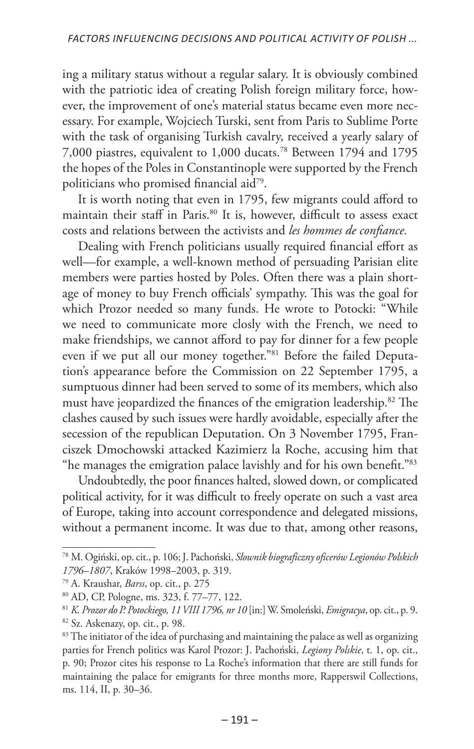ing a military status without a regular salary. It is obviously combined with the patriotic idea of creating Polish foreign military force, however, the improvement of one's material status became even more necessary. For example, Wojciech Turski, sent from Paris to Sublime Porte with the task of organising Turkish cavalry, received a yearly salary of 7,000 piastres, equivalent to 1,000 ducats.78 Between 1794 and 1795 the hopes of the Poles in Constantinople were supported by the French politicians who promised financial aid79.

It is worth noting that even in 1795, few migrants could afford to maintain their staff in Paris.<sup>80</sup> It is, however, difficult to assess exact costs and relations between the activists and *les hommes de confiance.*

Dealing with French politicians usually required financial effort as well—for example, a well-known method of persuading Parisian elite members were parties hosted by Poles. Often there was a plain shortage of money to buy French officials' sympathy. This was the goal for which Prozor needed so many funds. He wrote to Potocki: "While we need to communicate more closly with the French, we need to make friendships, we cannot afford to pay for dinner for a few people even if we put all our money together."81 Before the failed Deputation's appearance before the Commission on 22 September 1795, a sumptuous dinner had been served to some of its members, which also must have jeopardized the finances of the emigration leadership.82 The clashes caused by such issues were hardly avoidable, especially after the secession of the republican Deputation. On 3 November 1795, Franciszek Dmochowski attacked Kazimierz la Roche, accusing him that "he manages the emigration palace lavishly and for his own benefit."83

Undoubtedly, the poor finances halted, slowed down, or complicated political activity, for it was difficult to freely operate on such a vast area of Europe, taking into account correspondence and delegated missions, without a permanent income. It was due to that, among other reasons,

<sup>78</sup> M. Ogiński, op. cit., p. 106; J. Pachoński, *Słownik biograficzny oficerów Legionów Polskich 1796–1807*, Kraków 1998–2003, p. 319.

<sup>79</sup> A. Kraushar, *Barss*, op. cit., p. 275

<sup>80</sup> AD, CP, Pologne, ms. 323, f. 77–77, 122.

<sup>81</sup> *K. Prozor do P. Potockiego, 11 VIII 1796, nr 10* [in:] W. Smoleński, *Emigracya*, op. cit., p. 9. <sup>82</sup> Sz. Askenazy, op. cit., p. 98.

<sup>&</sup>lt;sup>83</sup> The initiator of the idea of purchasing and maintaining the palace as well as organizing parties for French politics was Karol Prozor: J. Pachoński, *Legiony Polskie*, t. 1, op. cit., p. 90; Prozor cites his response to La Roche's information that there are still funds for maintaining the palace for emigrants for three months more, Rapperswil Collections, ms. 114, II, p. 30–36.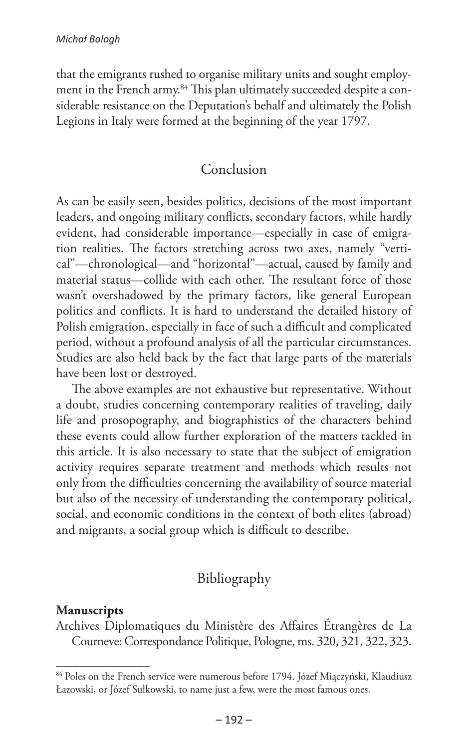that the emigrants rushed to organise military units and sought employment in the French army.<sup>84</sup> This plan ultimately succeeded despite a considerable resistance on the Deputation's behalf and ultimately the Polish Legions in Italy were formed at the beginning of the year 1797.

#### Conclusion

As can be easily seen, besides politics, decisions of the most important leaders, and ongoing military conflicts, secondary factors, while hardly evident, had considerable importance—especially in case of emigration realities. The factors stretching across two axes, namely "vertical"—chronological—and "horizontal"—actual, caused by family and material status—collide with each other. The resultant force of those wasn't overshadowed by the primary factors, like general European politics and conflicts. It is hard to understand the detailed history of Polish emigration, especially in face of such a difficult and complicated period, without a profound analysis of all the particular circumstances. Studies are also held back by the fact that large parts of the materials have been lost or destroyed.

The above examples are not exhaustive but representative. Without a doubt, studies concerning contemporary realities of traveling, daily life and prosopography, and biographistics of the characters behind these events could allow further exploration of the matters tackled in this article. It is also necessary to state that the subject of emigration activity requires separate treatment and methods which results not only from the difficulties concerning the availability of source material but also of the necessity of understanding the contemporary political, social, and economic conditions in the context of both elites (abroad) and migrants, a social group which is difficult to describe.

## Bibliography

#### **Manuscripts**

Archives Diplomatiques du Ministère des Affaires Étrangères de La Courneve: Correspondance Politique, Pologne, ms. 320, 321, 322, 323.

<sup>84</sup> Poles on the French service were numerous before 1794. Józef Miączyński, Klaudiusz Łazowski, or Józef Sułkowski, to name just a few, were the most famous ones.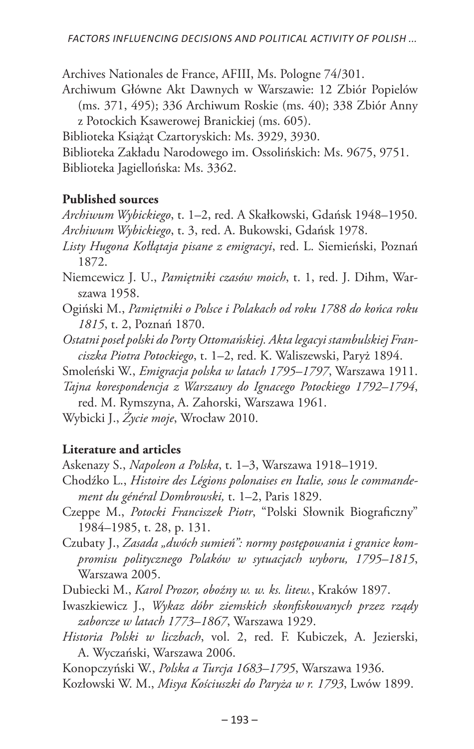Archives Nationales de France, AFIII, Ms. Pologne 74/301.

Archiwum Główne Akt Dawnych w Warszawie: 12 Zbiór Popielów (ms. 371, 495); 336 Archiwum Roskie (ms. 40); 338 Zbiór Anny z Potockich Ksawerowej Branickiej (ms. 605).

Biblioteka Książąt Czartoryskich: Ms. 3929, 3930.

Biblioteka Zakładu Narodowego im. Ossolińskich: Ms. 9675, 9751. Biblioteka Jagiellońska: Ms. 3362.

#### **Published sources**

*Archiwum Wybickiego*, t. 1–2, red. A Skałkowski, Gdańsk 1948–1950. *Archiwum Wybickiego*, t. 3, red. A. Bukowski, Gdańsk 1978.

- *Listy Hugona Kołłątaja pisane z emigracyi*, red. L. Siemieński, Poznań 1872.
- Niemcewicz J. U., *Pamiętniki czasów moich*, t. 1, red. J. Dihm, Warszawa 1958.
- Ogiński M., *Pamiętniki o Polsce i Polakach od roku 1788 do końca roku 1815*, t. 2, Poznań 1870.
- *Ostatni poseł polski do Porty Ottomańskiej. Akta legacyi stambulskiej Franciszka Piotra Potockiego*, t. 1–2, red. K. Waliszewski, Paryż 1894.
- Smoleński W., *Emigracja polska w latach 1795–1797*, Warszawa 1911.
- *Tajna korespondencja z Warszawy do Ignacego Potockiego 1792–1794*, red. M. Rymszyna, A. Zahorski, Warszawa 1961.

Wybicki J., *Życie moje*, Wrocław 2010.

#### **Literature and articles**

Askenazy S., *Napoleon a Polska*, t. 1–3, Warszawa 1918–1919.

- Chodźko L., *Histoire des Légions polonaises en Italie, sous le commandement du général Dombrowski,* t. 1–2, Paris 1829.
- Czeppe M., *Potocki Franciszek Piotr*, "Polski Słownik Biograficzny" 1984–1985, t. 28, p. 131.
- Czubaty J., *Zasada "dwóch sumień": normy postępowania i granice kompromisu politycznego Polaków w sytuacjach wyboru, 1795–1815*, Warszawa 2005.

Dubiecki M., *Karol Prozor, oboźny w. w. ks. litew.*, Kraków 1897.

- Iwaszkiewicz J., *Wykaz dóbr ziemskich skonfiskowanych przez rządy zaborcze w latach 1773–1867*, Warszawa 1929.
- *Historia Polski w liczbach*, vol. 2, red. F. Kubiczek, A. Jezierski, A. Wyczański, Warszawa 2006.

Konopczyński W., *Polska a Turcja 1683–1795*, Warszawa 1936.

Kozłowski W. M., *Misya Kościuszki do Paryża w r. 1793*, Lwów 1899.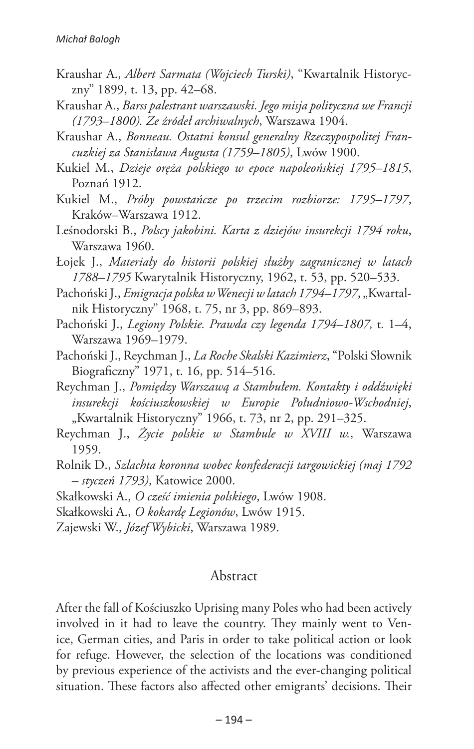- Kraushar A., *Albert Sarmata (Wojciech Turski)*, "Kwartalnik Historyczny" 1899, t. 13, pp. 42–68.
- Kraushar A., *Barss palestrant warszawski. Jego misja polityczna we Francji (1793–1800). Ze źródeł archiwalnych*, Warszawa 1904.
- Kraushar A., *Bonneau. Ostatni konsul generalny Rzeczypospolitej Francuzkiej za Stanisława Augusta (1759–1805)*, Lwów 1900.
- Kukiel M., *Dzieje oręża polskiego w epoce napoleońskiej 1795–1815*, Poznań 1912.
- Kukiel M., *Próby powstańcze po trzecim rozbiorze: 1795–1797*, Kraków–Warszawa 1912.
- Leśnodorski B., *Polscy jakobini. Karta z dziejów insurekcji 1794 roku*, Warszawa 1960.
- Łojek J., *Materiały do historii polskiej służby zagranicznej w latach 1788–1795* Kwarytalnik Historyczny, 1962, t. 53, pp. 520–533.
- Pachoński J., *Emigracja polska w Wenecji w latach 1794–1797*, "Kwartalnik Historyczny" 1968, t. 75, nr 3, pp. 869–893.
- Pachoński J., *Legiony Polskie. Prawda czy legenda 1794–1807,* t*.* 1–4, Warszawa 1969–1979.
- Pachoński J., Reychman J., *La Roche Skalski Kazimierz*, "Polski Słownik Biograficzny" 1971, t. 16, pp. 514–516.
- Reychman J., *Pomiędzy Warszawą a Stambułem. Kontakty i oddźwięki insurekcji kościuszkowskiej w Europie Południowo-Wschodniej*, "Kwartalnik Historyczny" 1966, t. 73, nr 2, pp. 291-325.
- Reychman J., *Życie polskie w Stambule w XVIII w.*, Warszawa 1959.
- Rolnik D., *Szlachta koronna wobec konfederacji targowickiej (maj 1792 – styczeń 1793)*, Katowice 2000.
- Skałkowski A., *O cześć imienia polskiego*, Lwów 1908.
- Skałkowski A., *O kokardę Legionów*, Lwów 1915.

Zajewski W., *Józef Wybicki*, Warszawa 1989.

#### Abstract

After the fall of Kościuszko Uprising many Poles who had been actively involved in it had to leave the country. They mainly went to Venice, German cities, and Paris in order to take political action or look for refuge. However, the selection of the locations was conditioned by previous experience of the activists and the ever-changing political situation. These factors also affected other emigrants' decisions. Their